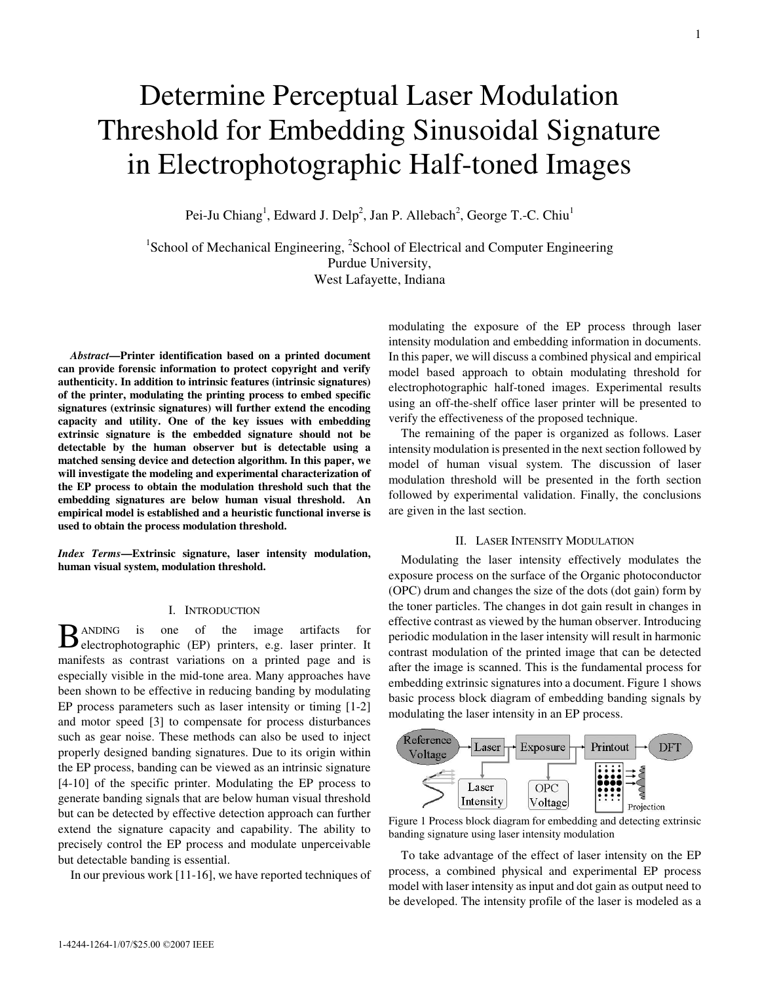# Determine Perceptual Laser Modulation Threshold for Embedding Sinusoidal Signature in Electrophotographic Half-toned Images

Pei-Ju Chiang<sup>1</sup>, Edward J. Delp<sup>2</sup>, Jan P. Allebach<sup>2</sup>, George T.-C. Chiu<sup>1</sup>

<sup>1</sup>School of Mechanical Engineering, <sup>2</sup>School of Electrical and Computer Engineering Purdue University, West Lafayette, Indiana

*Abstract***—Printer identification based on a printed document can provide forensic information to protect copyright and verify authenticity. In addition to intrinsic features (intrinsic signatures) of the printer, modulating the printing process to embed specific signatures (extrinsic signatures) will further extend the encoding capacity and utility. One of the key issues with embedding extrinsic signature is the embedded signature should not be detectable by the human observer but is detectable using a matched sensing device and detection algorithm. In this paper, we will investigate the modeling and experimental characterization of the EP process to obtain the modulation threshold such that the embedding signatures are below human visual threshold. An empirical model is established and a heuristic functional inverse is used to obtain the process modulation threshold.**

*Index Terms***—Extrinsic signature, laser intensity modulation, human visual system, modulation threshold.**

#### I. INTRODUCTION

ANDING is one of the image artifacts for BANDING is one of the image artifacts for electrophotographic (EP) printers, e.g. laser printer. It manifests as contrast variations on a printed page and is especially visible in the mid-tone area. Many approaches have been shown to be effective in reducing banding by modulating EP process parameters such as laser intensity or timing [1-2] and motor speed [3] to compensate for process disturbances such as gear noise. These methods can also be used to inject properly designed banding signatures. Due to its origin within the EP process, banding can be viewed as an intrinsic signature [4-10] of the specific printer. Modulating the EP process to generate banding signals that are below human visual threshold but can be detected by effective detection approach can further extend the signature capacity and capability. The ability to precisely control the EP process and modulate unperceivable but detectable banding is essential.

In our previous work [11-16], we have reported techniques of

modulating the exposure of the EP process through laser intensity modulation and embedding information in documents. In this paper, we will discuss a combined physical and empirical model based approach to obtain modulating threshold for electrophotographic half-toned images. Experimental results using an off-the-shelf office laser printer will be presented to verify the effectiveness of the proposed technique.

The remaining of the paper is organized as follows. Laser intensity modulation is presented in the next section followed by model of human visual system. The discussion of laser modulation threshold will be presented in the forth section followed by experimental validation. Finally, the conclusions are given in the last section.

### II. LASER INTENSITY MODULATION

Modulating the laser intensity effectively modulates the exposure process on the surface of the Organic photoconductor (OPC) drum and changes the size of the dots (dot gain) form by the toner particles. The changes in dot gain result in changes in effective contrast as viewed by the human observer. Introducing periodic modulation in the laser intensity will result in harmonic contrast modulation of the printed image that can be detected after the image is scanned. This is the fundamental process for embedding extrinsic signatures into a document. Figure 1 shows basic process block diagram of embedding banding signals by modulating the laser intensity in an EP process.



Figure 1 Process block diagram for embedding and detecting extrinsic banding signature using laser intensity modulation

To take advantage of the effect of laser intensity on the EP process, a combined physical and experimental EP process model with laser intensity asinput and dot gain as output need to be developed. The intensity profile of the laser is modeled as a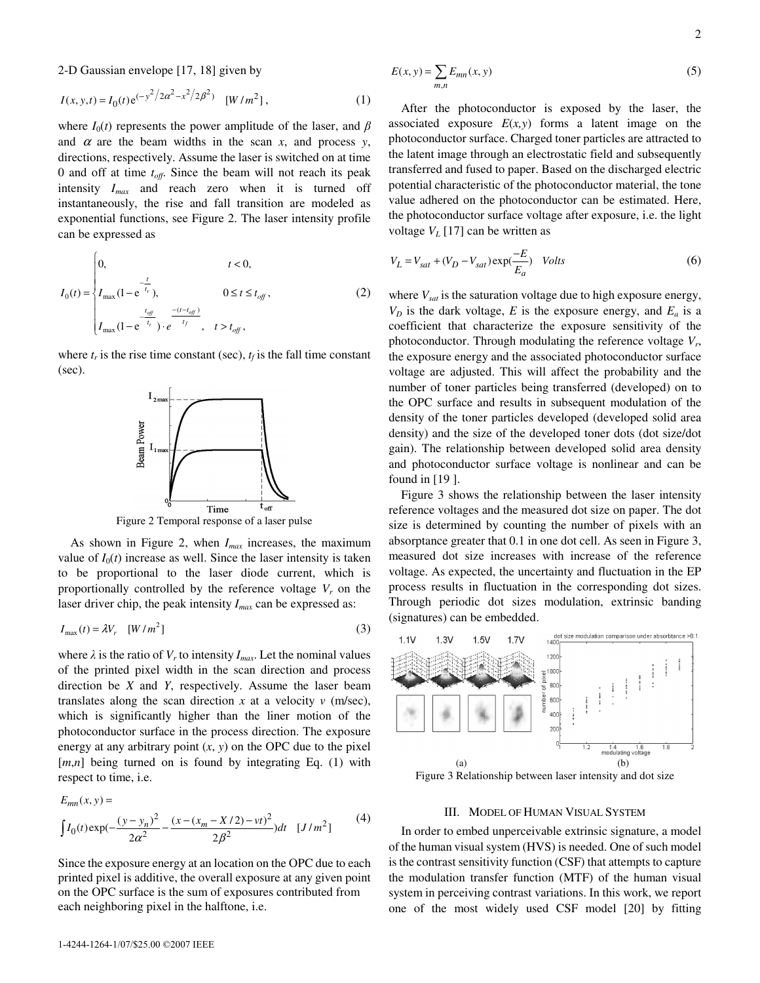2-D Gaussian envelope [17, 18] given by

$$
I(x, y, t) = I_0(t)e^{(-y^2/2\alpha^2 - x^2/2\beta^2)} \quad [W/m^2],
$$
 (1)

where  $I_0(t)$  represents the power amplitude of the laser, and  $\beta$ and  $\alpha$  are the beam widths in the scan  $x$ , and process  $y$ , directions, respectively. Assume the laser is switched on at time 0 and off at time *toff* . Since the beam will not reach its peak intensity *Imax* and reach zero when it is turned off instantaneously, the rise and fall transition are modeled as exponential functions, see Figure 2. The laser intensity profile can be expressed as

$$
I_0(t) = \begin{cases} 0, & t < 0, \\ I_{\max}(1 - e^{-\frac{t}{t_r}}), & 0 \le t \le t_{off}, \\ I_{\max}(1 - e^{-\frac{t_{off}}{t_r}}) \cdot e^{-\frac{-(t - t_{off})}{t_f}}, & t > t_{off}, \end{cases}
$$
(2)

where  $t_r$  is the rise time constant (sec),  $t_f$  is the fall time constant (sec).



Figure 2 Temporal response of a laser pulse

As shown in Figure 2, when *Imax* increases, the maximum value of  $I_0(t)$  increase as well. Since the laser intensity is taken to be proportional to the laser diode current, which is proportionally controlled by the reference voltage  $V_r$  on the laser driver chip, the peak intensity *Imax* can be expressed as:

$$
I_{\text{max}}(t) = \lambda V_r \quad [W/m^2] \tag{3}
$$

where  $\lambda$  is the ratio of  $V_r$  to intensity  $I_{max}$ . Let the nominal values of the printed pixel width in the scan direction and process direction be *X* and *Y*, respectively. Assume the laser beam translates along the scan direction  $x$  at a velocity  $v$  (m/sec), which is significantly higher than the liner motion of the photoconductor surface in the process direction. The exposure energy at any arbitrary point  $(x, y)$  on the OPC due to the pixel [*m*,*n*] being turned on is found by integrating Eq. (1) with respect to time, i.e.

$$
E_{mn}(x, y) =
$$
  
\n
$$
\int I_0(t) \exp(-\frac{(y - y_n)^2}{2\alpha^2} - \frac{(x - (x_m - X/2) - vt)^2}{2\beta^2}) dt \quad [J/m^2]
$$
 (4)

Since the exposure energy at an location on the OPC due to each printed pixel is additive, the overall exposure at any given point on the OPC surface is the sum of exposures contributed from each neighboring pixel in the halftone, i.e.

$$
E(x, y) = \sum_{m,n} E_{mn}(x, y)
$$
\n<sup>(5)</sup>

After the photoconductor is exposed by the laser, the associated exposure  $E(x, y)$  forms a latent image on the photoconductor surface. Charged toner particles are attracted to the latent image through an electrostatic field and subsequently transferred and fused to paper. Based on the discharged electric potential characteristic of the photoconductor material, the tone value adhered on the photoconductor can be estimated. Here, the photoconductor surface voltage after exposure, i.e. the light voltage  $V_L$  [17] can be written as

$$
V_L = V_{sat} + (V_D - V_{sat}) \exp(\frac{-E}{E_a}) \quad Volts
$$
 (6)

where *Vsat* is the saturation voltage due to high exposure energy,  $V_D$  is the dark voltage, *E* is the exposure energy, and  $E_a$  is a coefficient that characterize the exposure sensitivity of the photoconductor. Through modulating the reference voltage *V<sup>r</sup>* , the exposure energy and the associated photoconductor surface voltage are adjusted. This will affect the probability and the number of toner particles being transferred (developed) on to the OPC surface and results in subsequent modulation of the density of the toner particles developed (developed solid area density) and the size of the developed toner dots (dot size/dot gain). The relationship between developed solid area density and photoconductor surface voltage is nonlinear and can be found in [19 ].

Figure 3 shows the relationship between the laser intensity reference voltages and the measured dot size on paper. The dot size is determined by counting the number of pixels with an absorptance greater that 0.1 in one dot cell. As seen in Figure 3, measured dot size increases with increase of the reference voltage. As expected, the uncertainty and fluctuation in the EP process results in fluctuation in the corresponding dot sizes. Through periodic dot sizes modulation, extrinsic banding (signatures) can be embedded.



Figure 3 Relationship between laser intensity and dot size

## III. MODEL OF HUMAN VISUAL SYSTEM

In order to embed unperceivable extrinsic signature, a model of the human visual system (HVS) is needed. One of such model is the contrast sensitivity function (CSF) that attempts to capture the modulation transfer function (MTF) of the human visual system in perceiving contrast variations. In this work, we report one of the most widely used CSF model [20] by fitting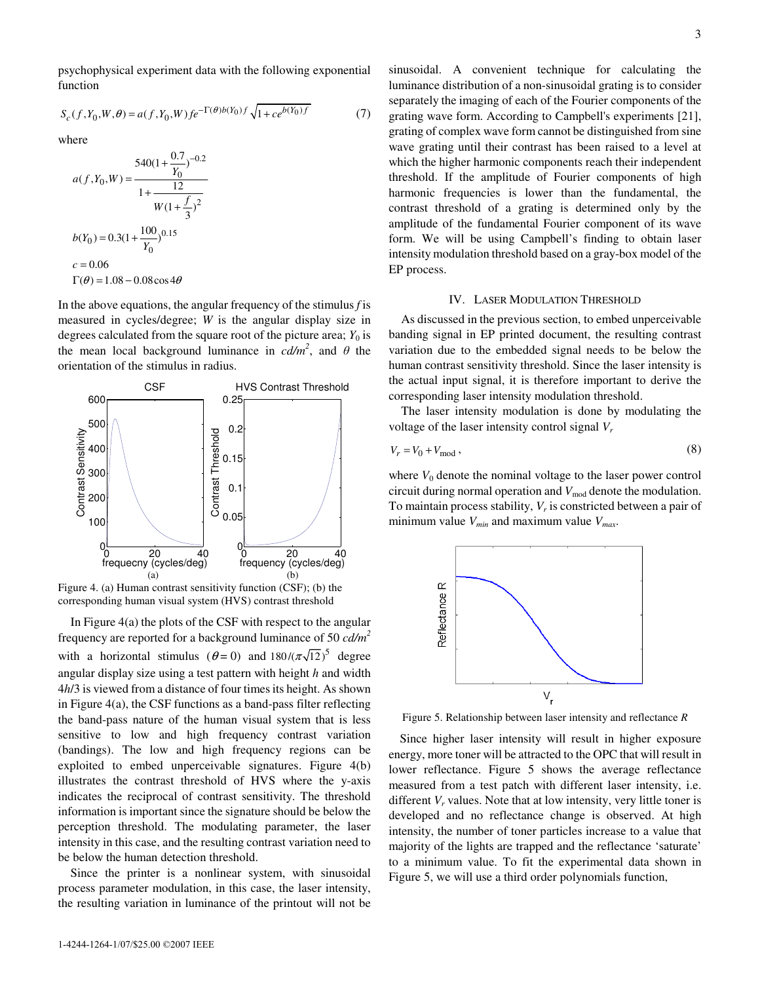psychophysical experiment data with the following exponential function

$$
S_c(f, Y_0, W, \theta) = a(f, Y_0, W) f e^{-\Gamma(\theta)b(Y_0)f} \sqrt{1 + ce^{b(Y_0)f}}
$$
(7)

where

$$
a(f, Y_0, W) = \frac{540(1 + \frac{0.7}{Y_0})^{-0.2}}{1 + \frac{12}{W(1 + \frac{f}{3})^2}}
$$
  

$$
b(Y_0) = 0.3(1 + \frac{100}{Y_0})^{0.15}
$$
  

$$
c = 0.06
$$
  

$$
\Gamma(\theta) = 1.08 - 0.08 \cos 4\theta
$$

In the above equations, the angular frequency of the stimulus *f* is measured in cycles/degree; *W* is the angular display size in degrees calculated from the square root of the picture area;  $Y_0$  is the mean local background luminance in  $cd/m^2$ , and  $\theta$  the orientation of the stimulus in radius.



corresponding human visual system (HVS) contrast threshold

In Figure 4(a) the plots of the CSF with respect to the angular frequency are reported for a background luminance of 50 *cd/m 2* with a horizontal stimulus ( $\theta = 0$ ) and  $180/(\pi\sqrt{12})^5$  degree angular display size using a test pattern with height *h* and width 4*h*/3 is viewed from a distance of four timesits height. As shown in Figure 4(a), the CSF functions as a band-pass filter reflecting the band-pass nature of the human visual system that is less sensitive to low and high frequency contrast variation (bandings). The low and high frequency regions can be exploited to embed unperceivable signatures. Figure 4(b) illustrates the contrast threshold of HVS where the y-axis indicates the reciprocal of contrast sensitivity. The threshold information is important since the signature should be below the perception threshold. The modulating parameter, the laser intensity in this case, and the resulting contrast variation need to be below the human detection threshold.

Since the printer is a nonlinear system, with sinusoidal process parameter modulation, in this case, the laser intensity, the resulting variation in luminance of the printout will not be

sinusoidal. A convenient technique for calculating the luminance distribution of a non-sinusoidal grating is to consider separately the imaging of each of the Fourier components of the grating wave form. According to Campbell's experiments [21], grating of complex wave form cannot be distinguished from sine wave grating until their contrast has been raised to a level at which the higher harmonic components reach their independent threshold. If the amplitude of Fourier components of high harmonic frequencies is lower than the fundamental, the contrast threshold of a grating is determined only by the amplitude of the fundamental Fourier component of its wave form. We will be using Campbell's finding to obtain laser intensity modulation threshold based on a gray-box model of the EP process.

#### IV. LASER MODULATION THRESHOLD

As discussed in the previous section, to embed unperceivable banding signal in EP printed document, the resulting contrast variation due to the embedded signal needs to be below the human contrast sensitivity threshold. Since the laser intensity is the actual input signal, it is therefore important to derive the corresponding laser intensity modulation threshold.

The laser intensity modulation is done by modulating the voltage of the laser intensity control signal *V<sup>r</sup>*

$$
V_r = V_0 + V_{\text{mod}}\,,\tag{8}
$$

where  $V_0$  denote the nominal voltage to the laser power control circuit during normal operation and  $V_{mod}$  denote the modulation. To maintain process stability, *V<sup>r</sup>* is constricted between a pair of minimum value *Vmin* and maximum value *Vmax* .



Figure 5. Relationship between laser intensity and reflectance *R*

Since higher laser intensity will result in higher exposure energy, more toner will be attracted to the OPC that will result in lower reflectance. Figure 5 shows the average reflectance measured from a test patch with different laser intensity, i.e. different  $V_r$  values. Note that at low intensity, very little toner is developed and no reflectance change is observed. At high intensity, the number of toner particles increase to a value that majority of the lights are trapped and the reflectance 'saturate' to a minimum value. To fit the experimental data shown in Figure 5, we will use a third order polynomials function,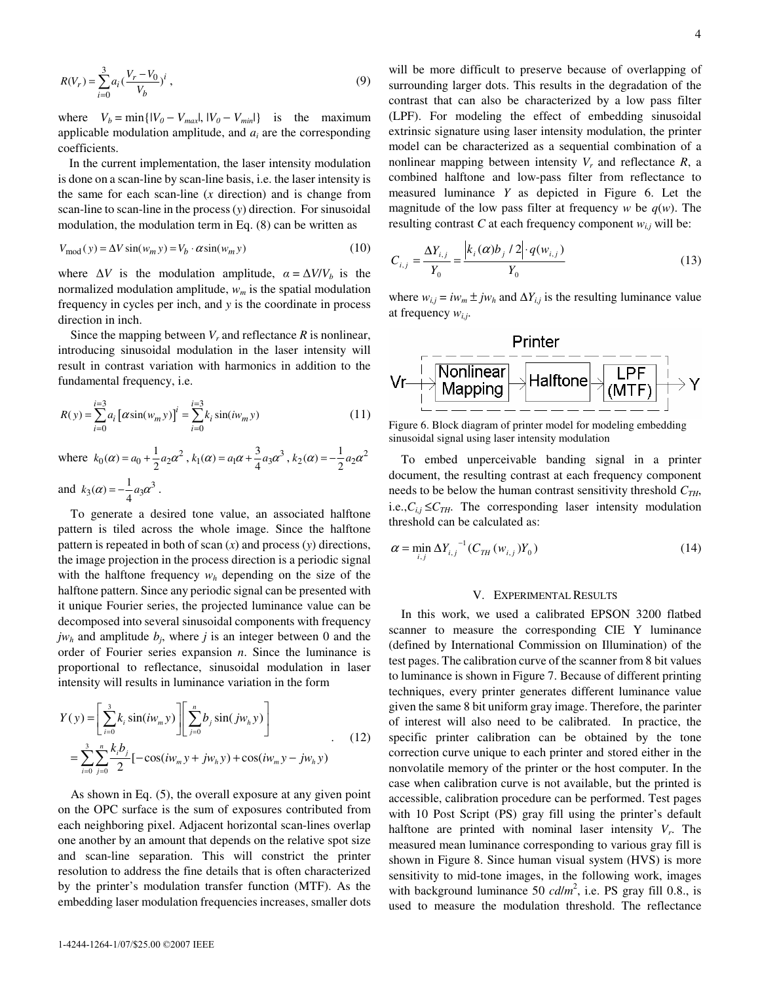$$
R(V_r) = \sum_{i=0}^{3} a_i \left(\frac{V_r - V_0}{V_b}\right)^i,
$$
\n(9)

where  $V_b = \min\{ |V_0 - V_{max}|, |V_0 - V_{min}| \}$  is the maximum applicable modulation amplitude, and  $a_i$  are the corresponding coefficients.

In the current implementation, the laser intensity modulation is done on a scan-line by scan-line basis, i.e. the laser intensity is the same for each scan-line (*x* direction) and is change from scan-line to scan-line in the process(*y*) direction. For sinusoidal modulation, the modulation term in Eq. (8) can be written as

$$
V_{\text{mod}}(y) = \Delta V \sin(w_m y) = V_b \cdot \alpha \sin(w_m y) \tag{10}
$$

where  $\Delta V$  is the modulation amplitude,  $\alpha = \Delta V/V_b$  is the normalized modulation amplitude, *w<sup>m</sup>* is the spatial modulation frequency in cycles per inch, and *y* is the coordinate in process direction in inch.

Since the mapping between  $V_r$  and reflectance  $R$  is nonlinear, introducing sinusoidal modulation in the laser intensity will result in contrast variation with harmonics in addition to the fundamental frequency, i.e.

$$
R(y) = \sum_{i=0}^{i=3} a_i \left[ \alpha \sin(w_m y) \right]^i = \sum_{i=0}^{i=3} k_i \sin(iw_m y)
$$
 (11)

where  $k_0(\alpha) = a_0 + \frac{1}{2} a_2 \alpha^2$ ,  $k_1(\alpha) = a_1 \alpha + \frac{3}{4} a_3 \alpha^3$ ,  $k_2(\alpha) = -\frac{1}{2} a_2 \alpha^2$ and  $k_3(\alpha) = -\frac{1}{4}a_3\alpha^3$ .

To generate a desired tone value, an associated halftone pattern is tiled across the whole image. Since the halftone pattern is repeated in both of scan (*x*) and process (*y*) directions, the image projection in the process direction is a periodic signal with the halftone frequency  $w_h$  depending on the size of the halftone pattern. Since any periodic signal can be presented with it unique Fourier series, the projected luminance value can be decomposed into several sinusoidal components with frequency  $jw_h$  and amplitude  $b_j$ , where  $j$  is an integer between 0 and the order of Fourier series expansion *n*. Since the luminance is proportional to reflectance, sinusoidal modulation in laser intensity will results in luminance variation in the form

$$
Y(y) = \left[\sum_{i=0}^{3} k_i \sin(iw_m y)\right] \left[\sum_{j=0}^{n} b_j \sin(jw_n y)\right]
$$
  
=  $\sum_{i=0}^{3} \sum_{j=0}^{n} \frac{k_i b_j}{2} [-\cos(iw_m y + jw_h y) + \cos(iw_m y - jw_h y)$  (12)

As shown in Eq. (5), the overall exposure at any given point on the OPC surface is the sum of exposures contributed from each neighboring pixel. Adjacent horizontal scan-lines overlap one another by an amount that depends on the relative spot size and scan-line separation. This will constrict the printer resolution to address the fine details that is often characterized by the printer's modulation transfer function (MTF). As the embedding laser modulation frequencies increases, smaller dots

will be more difficult to preserve because of overlapping of surrounding larger dots. This results in the degradation of the contrast that can also be characterized by a low pass filter (LPF). For modeling the effect of embedding sinusoidal extrinsic signature using laser intensity modulation, the printer model can be characterized as a sequential combination of a nonlinear mapping between intensity  $V_r$  and reflectance  $R$ , a combined halftone and low-pass filter from reflectance to measured luminance *Y* as depicted in Figure 6. Let the magnitude of the low pass filter at frequency *w* be  $q(w)$ . The resulting contrast *C* at each frequency component  $w_{i,j}$  will be:

$$
C_{i,j} = \frac{\Delta Y_{i,j}}{Y_0} = \frac{\left| k_i(\alpha) b_j / 2 \right| \cdot q(w_{i,j})}{Y_0}
$$
\n(13)

where  $w_{i,j} = iw_m \pm jw_h$  and  $\Delta Y_{i,j}$  is the resulting luminance value at frequency *wi,j* .



Figure 6. Block diagram of printer model for modeling embedding sinusoidal signal using laser intensity modulation

To embed unperceivable banding signal in a printer document, the resulting contrast at each frequency component needs to be below the human contrast sensitivity threshold *CTH*, i.e., $C_{i,j} \leq C_{TH}$ . The corresponding laser intensity modulation threshold can be calculated as:

$$
\alpha = \min_{i,j} \Delta Y_{i,j}^{-1} (C_{TH} (w_{i,j}) Y_0)
$$
\n(14)

#### V. EXPERIMENTAL RESULTS

In this work, we used a calibrated EPSON 3200 flatbed scanner to measure the corresponding CIE Y luminance (defined by International Commission on Illumination) of the test pages. The calibration curve of the scanner from 8 bit values to luminance is shown in Figure 7. Because of different printing techniques, every printer generates different luminance value given the same 8 bit uniform gray image. Therefore, the parinter of interest will also need to be calibrated. In practice, the specific printer calibration can be obtained by the tone correction curve unique to each printer and stored either in the nonvolatile memory of the printer or the host computer. In the case when calibration curve is not available, but the printed is accessible, calibration procedure can be performed. Test pages with 10 Post Script (PS) gray fill using the printer's default halftone are printed with nominal laser intensity *V<sup>r</sup>* . The measured mean luminance corresponding to various gray fill is shown in Figure 8. Since human visual system (HVS) is more sensitivity to mid-tone images, in the following work, images with background luminance 50  $cd/m^2$ , i.e. PS gray fill 0.8., is used to measure the modulation threshold. The reflectance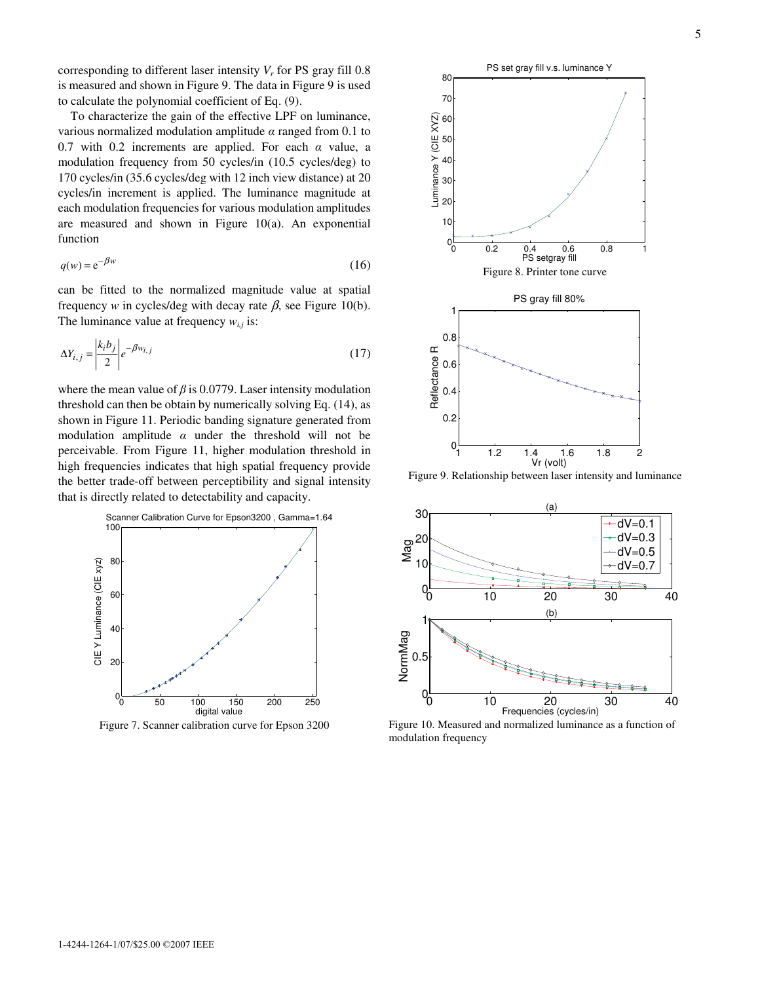corresponding to different laser intensity  $V_r$  for PS gray fill 0.8 is measured and shown in Figure 9. The data in Figure 9 is used to calculate the polynomial coefficient of Eq. (9).

To characterize the gain of the effective LPF on luminance, various normalized modulation amplitude  $\alpha$  ranged from 0.1 to 0.7 with 0.2 increments are applied. For each  $\alpha$  value, a modulation frequency from 50 cycles/in (10.5 cycles/deg) to 170 cycles/in (35.6 cycles/deg with 12 inch view distance) at 20 cycles/in increment is applied. The luminance magnitude at each modulation frequencies for various modulation amplitudes are measured and shown in Figure 10(a). An exponential function

$$
q(w) = e^{-\beta w} \tag{16}
$$

can be fitted to the normalized magnitude value at spatial frequency *w* in cycles/deg with decay rate  $\beta$ , see Figure 10(b). The luminance value at frequency *wi,j* is:

$$
\Delta Y_{i,j} = \left| \frac{k_i b_j}{2} \right| e^{-\beta w_{i,j}} \tag{17}
$$

where the mean value of  $\beta$  is 0.0779. Laser intensity modulation threshold can then be obtain by numerically solving Eq. (14), as shown in Figure 11. Periodic banding signature generated from modulation amplitude  $\alpha$  under the threshold will not be perceivable. From Figure 11, higher modulation threshold in high frequencies indicates that high spatial frequency provide the better trade-off between perceptibility and signal intensity that is directly related to detectability and capacity.



Figure 7. Scanner calibration curve for Epson 3200





Figure 8. Printer tone curve

Luminance Y (CIE XYZ)

Figure 9. Relationship between laser intensity and luminance



Figure 10. Measured and normalized luminance as a function of modulation frequency